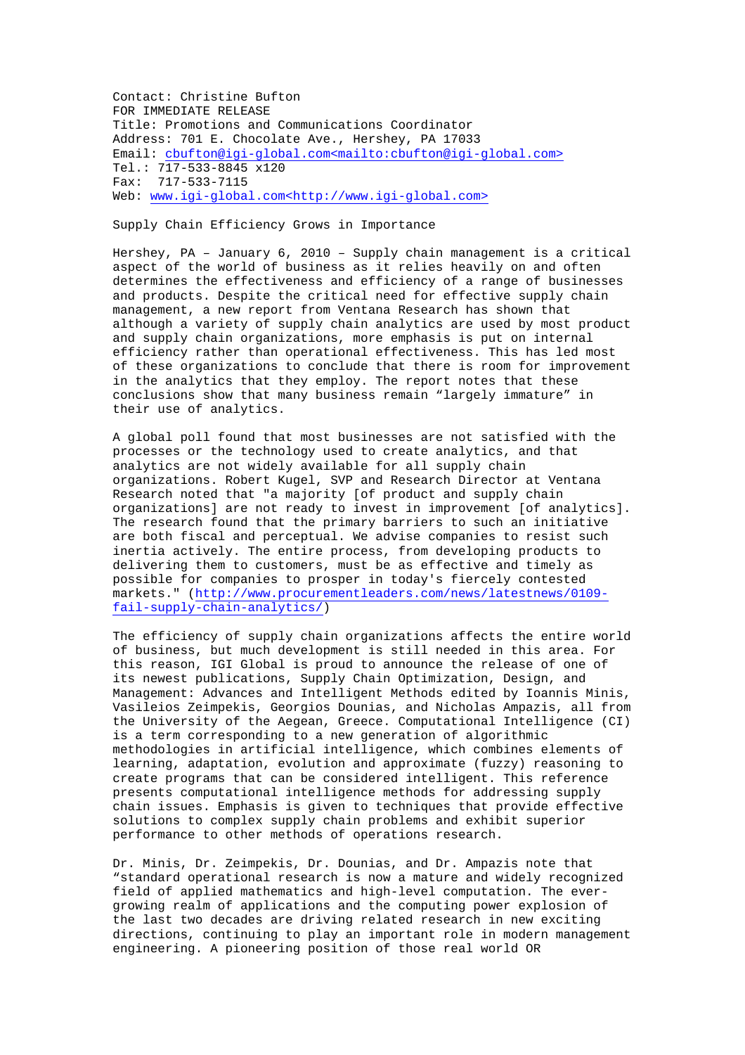Contact: Christine Bufton FOR IMMEDIATE RELEASE Title: Promotions and Communications Coordinator Address: 701 E. Chocolate Ave., Hershey, PA 17033 Email: cbufton@igi-global.com<mailto:cbufton@igi-global.com> Tel.: 717-533-8845 x120 Fax: 717-533-7115 Web: www.igi-global.com<http://www.igi-global.com>

Supply Chain Efficiency Grows in Importance

Hershey, PA – January 6, 2010 – Supply chain management is a critical aspect of the world of business as it relies heavily on and often determines the effectiveness and efficiency of a range of businesses and products. Despite the critical need for effective supply chain management, a new report from Ventana Research has shown that although a variety of supply chain analytics are used by most product and supply chain organizations, more emphasis is put on internal efficiency rather than operational effectiveness. This has led most of these organizations to conclude that there is room for improvement in the analytics that they employ. The report notes that these conclusions show that many business remain "largely immature" in their use of analytics.

A global poll found that most businesses are not satisfied with the processes or the technology used to create analytics, and that analytics are not widely available for all supply chain organizations. Robert Kugel, SVP and Research Director at Ventana Research noted that "a majority [of product and supply chain organizations] are not ready to invest in improvement [of analytics]. The research found that the primary barriers to such an initiative are both fiscal and perceptual. We advise companies to resist such inertia actively. The entire process, from developing products to delivering them to customers, must be as effective and timely as possible for companies to prosper in today's fiercely contested markets." (http://www.procurementleaders.com/news/latestnews/0109 fail-supply-chain-analytics/)

The efficiency of supply chain organizations affects the entire world of business, but much development is still needed in this area. For this reason, IGI Global is proud to announce the release of one of its newest publications, Supply Chain Optimization, Design, and Management: Advances and Intelligent Methods edited by Ioannis Minis, Vasileios Zeimpekis, Georgios Dounias, and Nicholas Ampazis, all from the University of the Aegean, Greece. Computational Intelligence (CI) is a term corresponding to a new generation of algorithmic methodologies in artificial intelligence, which combines elements of learning, adaptation, evolution and approximate (fuzzy) reasoning to create programs that can be considered intelligent. This reference presents computational intelligence methods for addressing supply chain issues. Emphasis is given to techniques that provide effective solutions to complex supply chain problems and exhibit superior performance to other methods of operations research.

Dr. Minis, Dr. Zeimpekis, Dr. Dounias, and Dr. Ampazis note that "standard operational research is now a mature and widely recognized field of applied mathematics and high-level computation. The evergrowing realm of applications and the computing power explosion of the last two decades are driving related research in new exciting directions, continuing to play an important role in modern management engineering. A pioneering position of those real world OR